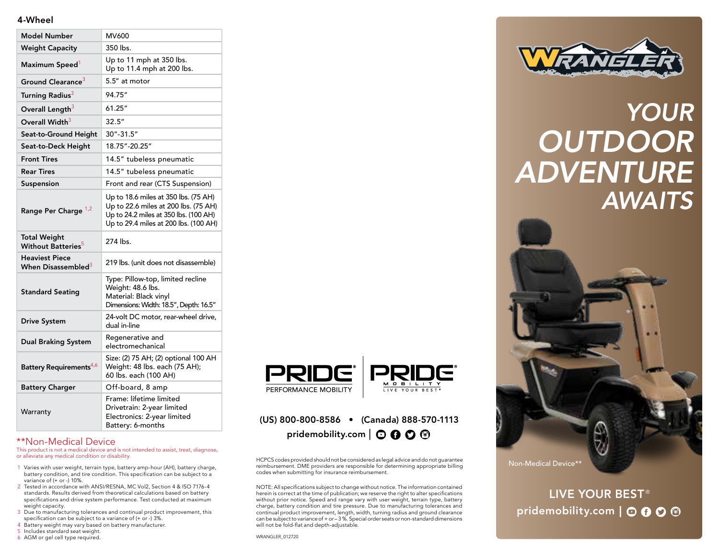### 4-Wheel

| <b>Model Number</b>                                     | MV600                                                                                                                                                          |
|---------------------------------------------------------|----------------------------------------------------------------------------------------------------------------------------------------------------------------|
| <b>Weight Capacity</b>                                  | 350 lbs.                                                                                                                                                       |
| Maximum Speed                                           | Up to 11 mph at 350 lbs.<br>Up to 11.4 mph at 200 lbs.                                                                                                         |
| Ground Clearance <sup>3</sup>                           | 5.5" at motor                                                                                                                                                  |
| Turning Radius <sup>3</sup>                             | 94.75"                                                                                                                                                         |
| Overall Length <sup>3</sup>                             | 61.25″                                                                                                                                                         |
| Overall Width <sup>3</sup>                              | 32.5''                                                                                                                                                         |
| Seat-to-Ground Height                                   | 30"-31.5"                                                                                                                                                      |
| Seat-to-Deck Height                                     | 18.75"-20.25"                                                                                                                                                  |
| <b>Front Tires</b>                                      | 14.5" tubeless pneumatic                                                                                                                                       |
| <b>Rear Tires</b>                                       | 14.5" tubeless pneumatic                                                                                                                                       |
| Suspension                                              | Front and rear (CTS Suspension)                                                                                                                                |
| Range Per Charge 1,2                                    | Up to 18.6 miles at 350 lbs. (75 AH)<br>Up to 22.6 miles at 200 lbs. (75 AH)<br>Up to 24.2 miles at 350 lbs. (100 AH)<br>Up to 29.4 miles at 200 lbs. (100 AH) |
| <b>Total Weight</b><br>Without Batteries <sup>5</sup>   | 274 lbs.                                                                                                                                                       |
| <b>Heaviest Piece</b><br>When Disassembled <sup>3</sup> | 219 lbs. (unit does not disassemble)                                                                                                                           |
| <b>Standard Seating</b>                                 | Type: Pillow-top, limited recline<br>Weight: 48.6 lbs.<br>Material: Black vinyl<br>Dimensions: Width: 18.5", Depth: 16.5"                                      |
| <b>Drive System</b>                                     | 24-volt DC motor, rear-wheel drive,<br>dual in-line                                                                                                            |
| <b>Dual Braking System</b>                              | Regenerative and<br>electromechanical                                                                                                                          |
| Battery Requirements <sup>4,6</sup>                     | Size: (2) 75 AH; (2) optional 100 AH<br>Weight: 48 lbs. each (75 AH);<br>60 lbs. each (100 AH)                                                                 |
| <b>Battery Charger</b>                                  | Off-board, 8 amp                                                                                                                                               |
| Warranty                                                | Frame: lifetime limited<br>Drivetrain: 2-year limited<br>Electronics: 2-year limited<br>Battery: 6-months                                                      |

### \*\*Non-Medical Device

This product is not a medical device and is not intended to assist, treat, diagnose, or alleviate any medical condition or disability.

- 1 Varies with user weight, terrain type, battery amp-hour (AH), battery charge, battery condition, and tire condition. This specification can be subject to a variance of (+ or -) 10%.
- 2 Tested in accordance with ANSI/RESNA, MC Vol2, Section 4 & ISO 7176-4 standards. Results derived from theoretical calculations based on battery specifications and drive system performance. Test conducted at maximum weight capacity.
- 3 Due to manufacturing tolerances and continual product improvement, this specification can be subject to a variance of (+ or -) 3%.
- 4 Battery weight may vary based on battery manufacturer.
- 5 Includes standard seat weight.
- 6 AGM or gel cell type required.



# (US) 800-800-8586 • (Canada) 888-570-1113

HCPCS codes provided should not be considered as legal advice and do not guarantee reimbursement. DME providers are responsible for determining appropriate billing codes when submitting for insurance reimbursement.

pridemobility.com  $\mid$   $\bigcirc$   $\bigcirc$   $\bigcirc$   $\bigcirc$ 

NOTE: All specifications subject to change without notice. The information contained herein is correct at the time of publication; we reserve the right to alter specifications without prior notice. Speed and range vary with user weight, terrain type, battery charge, battery condition and tire pressure. Due to manufacturing tolerances and continual product improvement, length, width, turning radius and ground clearance can be subject to variance of + or – 3 %. Special order seats or non-standard dimensions will not be fold-flat and depth-adjustable.



### *YOUR OUTDOOR ADVENTURE AWAITS*



LIVE YOUR BEST<sup>®</sup> pridemobility.com  $\boldsymbol{\circ}$   $\boldsymbol{\odot}$   $\boldsymbol{\odot}$   $\boldsymbol{\odot}$